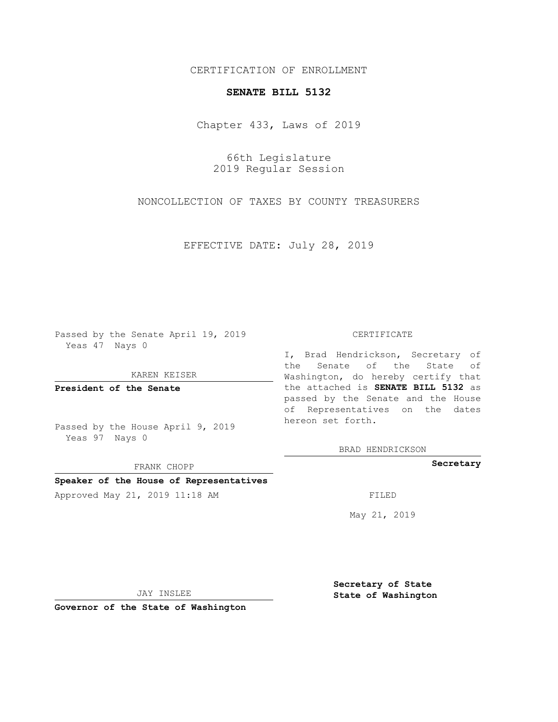# CERTIFICATION OF ENROLLMENT

## **SENATE BILL 5132**

Chapter 433, Laws of 2019

66th Legislature 2019 Regular Session

NONCOLLECTION OF TAXES BY COUNTY TREASURERS

EFFECTIVE DATE: July 28, 2019

Passed by the Senate April 19, 2019 Yeas 47 Nays 0

KAREN KEISER

**President of the Senate**

Passed by the House April 9, 2019 Yeas 97 Nays 0

FRANK CHOPP

## **Speaker of the House of Representatives**

Approved May 21, 2019 11:18 AM FILED

#### CERTIFICATE

I, Brad Hendrickson, Secretary of the Senate of the State of Washington, do hereby certify that the attached is **SENATE BILL 5132** as passed by the Senate and the House of Representatives on the dates hereon set forth.

BRAD HENDRICKSON

**Secretary**

May 21, 2019

JAY INSLEE

**Governor of the State of Washington**

**Secretary of State State of Washington**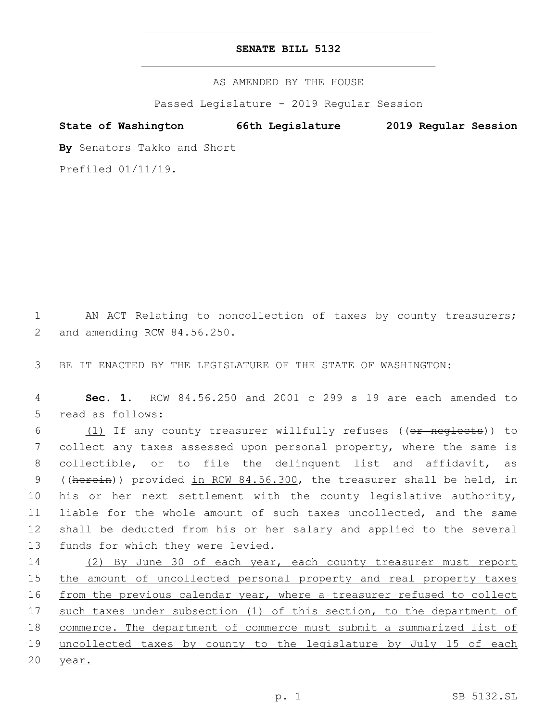# **SENATE BILL 5132**

AS AMENDED BY THE HOUSE

Passed Legislature - 2019 Regular Session

**State of Washington 66th Legislature 2019 Regular Session**

**By** Senators Takko and Short

Prefiled 01/11/19.

1 AN ACT Relating to noncollection of taxes by county treasurers; and amending RCW 84.56.250.2

3 BE IT ENACTED BY THE LEGISLATURE OF THE STATE OF WASHINGTON:

4 **Sec. 1.** RCW 84.56.250 and 2001 c 299 s 19 are each amended to 5 read as follows:

6 (1) If any county treasurer willfully refuses ((or neglects)) to collect any taxes assessed upon personal property, where the same is collectible, or to file the delinquent list and affidavit, as 9 ((herein)) provided in RCW 84.56.300, the treasurer shall be held, in his or her next settlement with the county legislative authority, liable for the whole amount of such taxes uncollected, and the same shall be deducted from his or her salary and applied to the several 13 funds for which they were levied.

14 (2) By June 30 of each year, each county treasurer must report 15 the amount of uncollected personal property and real property taxes 16 from the previous calendar year, where a treasurer refused to collect 17 such taxes under subsection (1) of this section, to the department of 18 commerce. The department of commerce must submit a summarized list of 19 uncollected taxes by county to the legislature by July 15 of each 20 year.